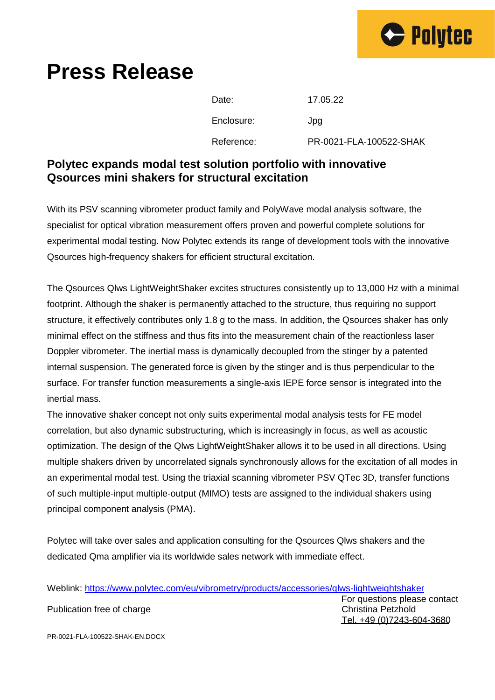

## **Press Release**

| Date:      | 17.05.22                |
|------------|-------------------------|
| Enclosure: | Jpg                     |
| Reference: | PR-0021-FLA-100522-SHAK |

## **Polytec expands modal test solution portfolio with innovative Qsources mini shakers for structural excitation**

With its PSV scanning vibrometer product family and PolyWave modal analysis software, the specialist for optical vibration measurement offers proven and powerful complete solutions for experimental modal testing. Now Polytec extends its range of development tools with the innovative Qsources high-frequency shakers for efficient structural excitation.

The Qsources Qlws LightWeightShaker excites structures consistently up to 13,000 Hz with a minimal footprint. Although the shaker is permanently attached to the structure, thus requiring no support structure, it effectively contributes only 1.8 g to the mass. In addition, the Qsources shaker has only minimal effect on the stiffness and thus fits into the measurement chain of the reactionless laser Doppler vibrometer. The inertial mass is dynamically decoupled from the stinger by a patented internal suspension. The generated force is given by the stinger and is thus perpendicular to the surface. For transfer function measurements a single-axis IEPE force sensor is integrated into the inertial mass.

The innovative shaker concept not only suits experimental modal analysis tests for FE model correlation, but also dynamic substructuring, which is increasingly in focus, as well as acoustic optimization. The design of the Qlws LightWeightShaker allows it to be used in all directions. Using multiple shakers driven by uncorrelated signals synchronously allows for the excitation of all modes in an experimental modal test. Using the triaxial scanning vibrometer PSV QTec 3D, transfer functions of such multiple-input multiple-output (MIMO) tests are assigned to the individual shakers using principal component analysis (PMA).

Polytec will take over sales and application consulting for the Qsources Qlws shakers and the dedicated Qma amplifier via its worldwide sales network with immediate effect.

Weblink:<https://www.polytec.com/eu/vibrometry/products/accessories/qlws-lightweightshaker>

Publication free of charge Christian Petzhold Christina Petzhold

For questions please contact Tel. +49 (0)7243-604-3680

PR-0021-FLA-100522-SHAK-EN.DOCX